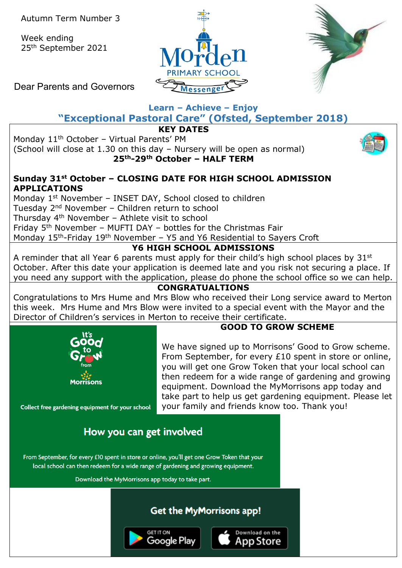Week ending 25th September 2021





Dear Parents and Governors

# **Learn – Achieve – Enjoy**

**"Exceptional Pastoral Care" (Ofsted, September 2018)**

**KEY DATES**

Monday 11<sup>th</sup> October - Virtual Parents' PM

(School will close at 1.30 on this day – Nursery will be open as normal) **25th-29th October – HALF TERM**



## **Sunday 31st October – CLOSING DATE FOR HIGH SCHOOL ADMISSION APPLICATIONS**

Monday 1<sup>st</sup> November - INSET DAY, School closed to children Tuesday 2nd November – Children return to school Thursday 4th November – Athlete visit to school Friday  $5<sup>th</sup>$  November – MUFTI DAY – bottles for the Christmas Fair Monday 15<sup>th</sup>-Friday 19<sup>th</sup> November – Y5 and Y6 Residential to Sayers Croft

## **Y6 HIGH SCHOOL ADMISSIONS**

A reminder that all Year 6 parents must apply for their child's high school places by  $31^{st}$ October. After this date your application is deemed late and you risk not securing a place. If you need any support with the application, please do phone the school office so we can help.

## **CONGRATUALTIONS**

Congratulations to Mrs Hume and Mrs Blow who received their Long service award to Merton this week. Mrs Hume and Mrs Blow were invited to a special event with the Mayor and the Director of Children's services in Merton to receive their certificate.



## **GOOD TO GROW SCHEME**

We have signed up to Morrisons' Good to Grow scheme. From September, for every £10 spent in store or online, you will get one Grow Token that your local school can then redeem for a wide range of gardening and growing equipment. Download the MyMorrisons app today and take part to help us get gardening equipment. Please let your family and friends know too. Thank you!

Collect free gardening equipment for your school

# How you can get involved

From September, for every £10 spent in store or online, you'll get one Grow Token that your local school can then redeem for a wide range of gardening and growing equipment.

Download the MyMorrisons app today to take part.

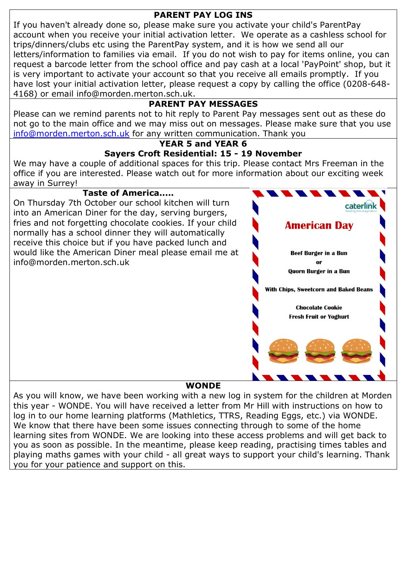## **PARENT PAY LOG INS**

If you haven't already done so, please make sure you activate your child's ParentPay account when you receive your initial activation letter. We operate as a cashless school for trips/dinners/clubs etc using the ParentPay system, and it is how we send all our letters/information to families via email. If you do not wish to pay for items online, you can request a barcode letter from the school office and pay cash at a local 'PayPoint' shop, but it is very important to activate your account so that you receive all emails promptly. If you have lost your initial activation letter, please request a copy by calling the office (0208-648- 4168) or email info@morden.merton.sch.uk.

## **PARENT PAY MESSAGES**

Please can we remind parents not to hit reply to Parent Pay messages sent out as these do not go to the main office and we may miss out on messages. Please make sure that you use [info@morden.merton.sch.uk](mailto:info@morden.merton.sch.uk) for any written communication. Thank you

#### **YEAR 5 and YEAR 6 Sayers Croft Residential: 15 - 19 November**

We may have a couple of additional spaces for this trip. Please contact Mrs Freeman in the office if you are interested. Please watch out for more information about our exciting week away in Surrey!

#### **Taste of America.....**

On Thursday 7th October our school kitchen will turn into an American Diner for the day, serving burgers, fries and not forgetting chocolate cookies. If your child normally has a school dinner they will automatically receive this choice but if you have packed lunch and would like the American Diner meal please email me at info@morden.merton.sch.uk



#### **WONDE**

As you will know, we have been working with a new log in system for the children at Morden this year - WONDE. You will have received a letter from Mr Hill with instructions on how to log in to our home learning platforms (Mathletics, TTRS, Reading Eggs, etc.) via WONDE. We know that there have been some issues connecting through to some of the home learning sites from WONDE. We are looking into these access problems and will get back to you as soon as possible. In the meantime, please keep reading, practising times tables and playing maths games with your child - all great ways to support your child's learning. Thank you for your patience and support on this.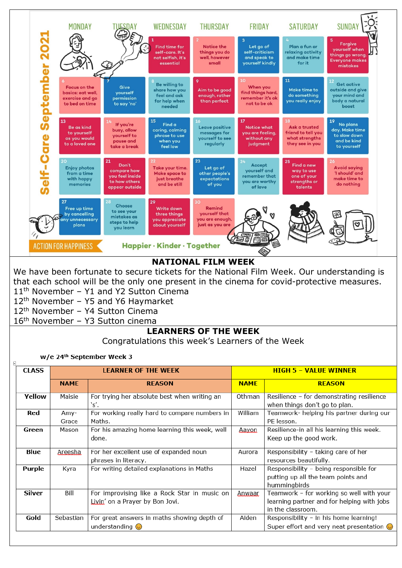

### **NATIONAL FILM WEEK**

We have been fortunate to secure tickets for the National Film Week. Our understanding is that each school will be the only one present in the cinema for covid-protective measures. 11<sup>th</sup> November - Y1 and Y2 Sutton Cinema

12<sup>th</sup> November - Y5 and Y6 Haymarket

12th November – Y4 Sutton Cinema

16th November – Y3 Sutton cinema

#### **LEARNERS OF THE WEEK**

Congratulations this week's Learners of the Week

w/e 24th September Week 3

 $\overline{E}$ 

| <b>CLASS</b>  |             | <b>LEARNER OF THE WEEK</b>                    | <b>HIGH 5 - VALUE WINNER</b> |                                                 |  |  |
|---------------|-------------|-----------------------------------------------|------------------------------|-------------------------------------------------|--|--|
|               | <b>NAME</b> | <b>REASON</b>                                 | <b>NAME</b>                  | <b>REASON</b>                                   |  |  |
| <b>Yellow</b> | Maisie      | For trying her absolute best when writing an  | Othman                       | Resilience - for demonstrating resilience       |  |  |
|               |             | `s'.                                          |                              | when things don't go to plan.                   |  |  |
| Red           | Amy-        | For working really hard to compare numbers in | William                      | Teamwork- helping his partner during our        |  |  |
|               | Grace       | Maths.                                        |                              | PE lesson.                                      |  |  |
| Green         | Mason       | For his amazing home learning this week, well | Aayon                        | Resilience-in all his learning this week.       |  |  |
|               |             | done.                                         |                              | Keep up the good work.                          |  |  |
|               |             |                                               |                              |                                                 |  |  |
| Blue          | Areesha     | For her excellent use of expanded noun        | Aurora                       | Responsibility - taking care of her             |  |  |
|               |             | phrases in literacy.                          |                              | resources beautifully.                          |  |  |
| Purple        | Kyra        | For writing detailed explanations in Maths    | Hazel                        | Responsibility - being responsible for          |  |  |
|               |             |                                               |                              | putting up all the team points and              |  |  |
|               |             |                                               |                              | hummingbirds                                    |  |  |
| <b>Silver</b> | Bill        | For improvising like a Rock Star in music on  | Anwaar                       | Teamwork - for working so well with your        |  |  |
|               |             | Livin' on a Prayer by Bon Jovi.               |                              | learning partner and for helping with jobs      |  |  |
|               |             |                                               |                              | in the classroom.                               |  |  |
| Gold          | Sebastian   | For great answers in maths showing depth of   | Aiden                        | Responsibility - in his home learning!          |  |  |
|               |             | understanding $\odot$                         |                              | Super effort and very neat presentation $\odot$ |  |  |
|               |             |                                               |                              |                                                 |  |  |